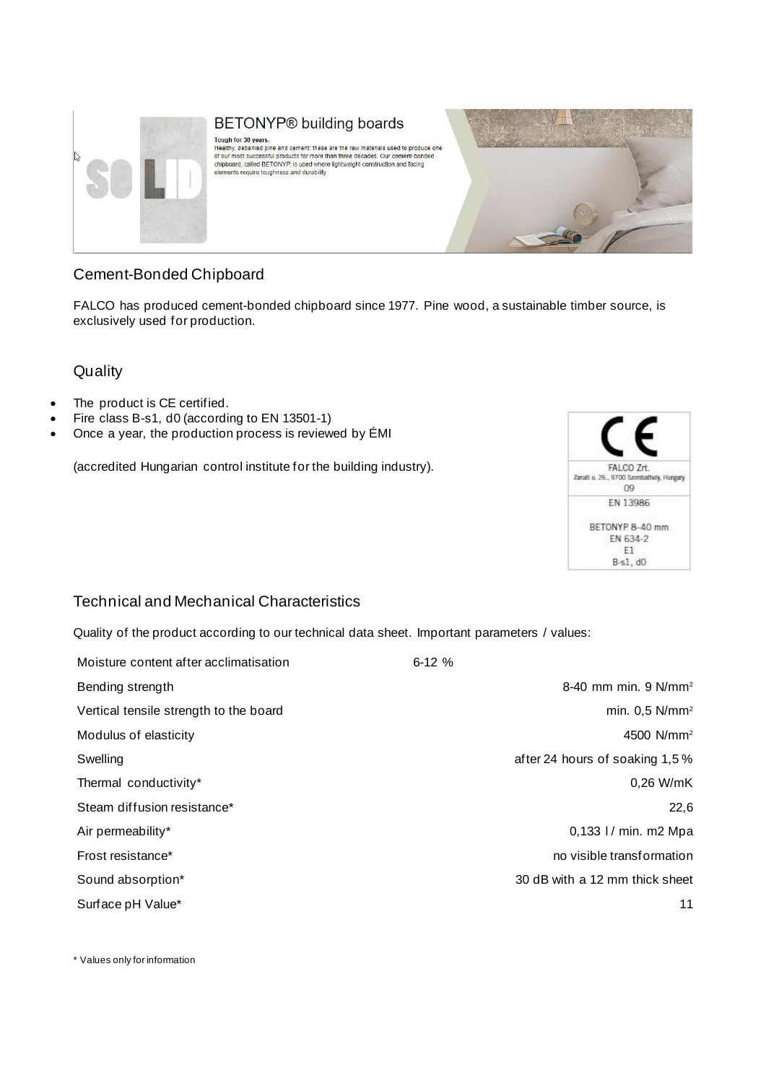

# BETONYP® building boards

Tough for 30 years.<br>Healthy, debarked pine and cement: these are the raw materials used to produce one<br>of our most successful products for more than three decades. Our cement-bonded<br>chipbpard, called BETONYP, is used where elements require toughness and durability.



## Cement-Bonded Chipboard

FALCO has produced cement-bonded chipboard since 1977. Pine wood, a sustainable timber source, is exclusively used for production.

#### **Quality**

- The product is CE certified.
- Fire class B-s1, d0 (according to EN 13501-1)
- Once a year, the production process is reviewed by ÉMI

(accredited Hungarian control institute for the building industry).



#### Technical and Mechanical Characteristics

Quality of the product according to our technical data sheet. Important parameters / values:

| Moisture content after acclimatisation | $6-12%$                          |
|----------------------------------------|----------------------------------|
| Bending strength                       | 8-40 mm min. 9 N/mm <sup>2</sup> |
| Vertical tensile strength to the board | min. $0.5$ N/mm <sup>2</sup>     |
| Modulus of elasticity                  | 4500 N/mm <sup>2</sup>           |
| Swelling                               | after 24 hours of soaking 1,5 %  |
| Thermal conductivity*                  | 0,26 W/mK                        |
| Steam diffusion resistance*            | 22,6                             |
| Air permeability*                      | 0,133 l / min. m2 Mpa            |
| Frost resistance*                      | no visible transformation        |
| Sound absorption*                      | 30 dB with a 12 mm thick sheet   |
| Surface pH Value*                      | 11                               |